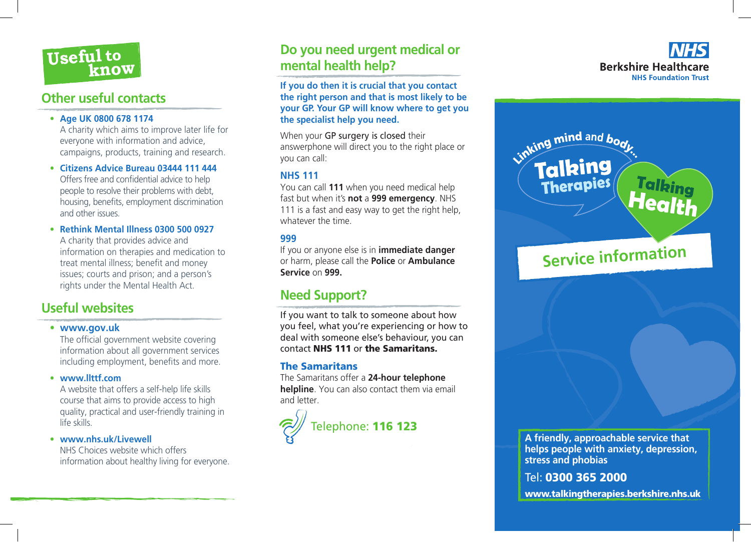

### **Other useful contacts**

#### **• Age UK 0800 678 1174**

A charity which aims to improve later life for everyone with information and advice, campaigns, products, training and research.

- **• Citizens Advice Bureau 03444 111 444** Offers free and confidential advice to help people to resolve their problems with debt, housing, benefits, employment discrimination and other issues.
- **• Rethink Mental Illness 0300 500 0927** A charity that provides advice and information on therapies and medication to treat mental illness; benefit and money issues; courts and prison; and a person's rights under the Mental Health Act.

### **Useful websites**

#### **• www.gov.uk**

 The official government website covering information about all government services including employment, benefits and more.

**• www.llttf.com**

A website that offers a self-help life skills course that aims to provide access to high quality, practical and user-friendly training in life skills.

**• www.nhs.uk/Livewell**

NHS Choices website which offers information about healthy living for everyone.

## **Do you need urgent medical or mental health help?**

**If you do then it is crucial that you contact the right person and that is most likely to be your GP. Your GP will know where to get you the specialist help you need.**

When your GP surgery is closed their answerphone will direct you to the right place or you can call:

### **NHS 111**

You can call **111** when you need medical help fast but when it's **not** a **999 emergency**. NHS 111 is a fast and easy way to get the right help, whatever the time.

### **999**

If you or anyone else is in **immediate danger** or harm, please call the **Police** or **Ambulance Service** on **999.**

## **Need Support?**

If you want to talk to someone about how you feel, what you're experiencing or how to deal with someone else's behaviour, you can contact NHS 111 or the Samaritans.

### The Samaritans

The Samaritans offer a **24-hour telephone helpline**. You can also contact them via email and letter.







Tel: 0300 365 2000

www.talkingtherapies.berkshire.nhs.uk